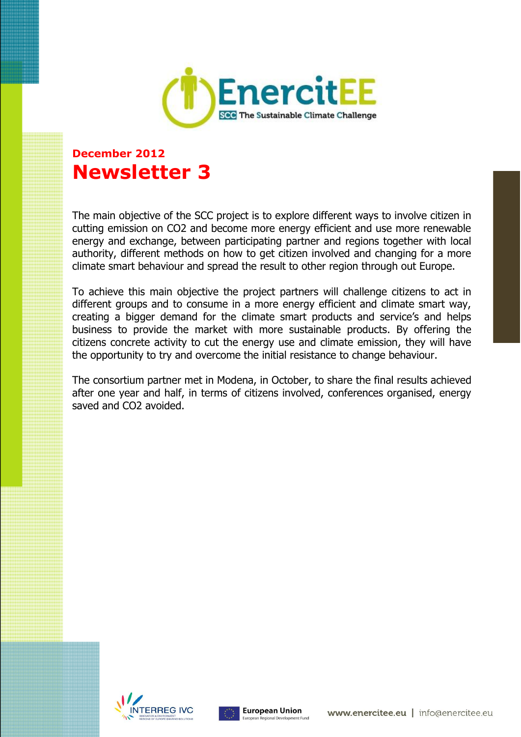

# **December 2012 Newsletter 3**

The main objective of the SCC project is to explore different ways to involve citizen in cutting emission on CO2 and become more energy efficient and use more renewable energy and exchange, between participating partner and regions together with local authority, different methods on how to get citizen involved and changing for a more climate smart behaviour and spread the result to other region through out Europe.

To achieve this main objective the project partners will challenge citizens to act in different groups and to consume in a more energy efficient and climate smart way, creating a bigger demand for the climate smart products and service's and helps business to provide the market with more sustainable products. By offering the citizens concrete activity to cut the energy use and climate emission, they will have the opportunity to try and overcome the initial resistance to change behaviour.

The consortium partner met in Modena, in October, to share the final results achieved after one year and half, in terms of citizens involved, conferences organised, energy saved and CO2 avoided.



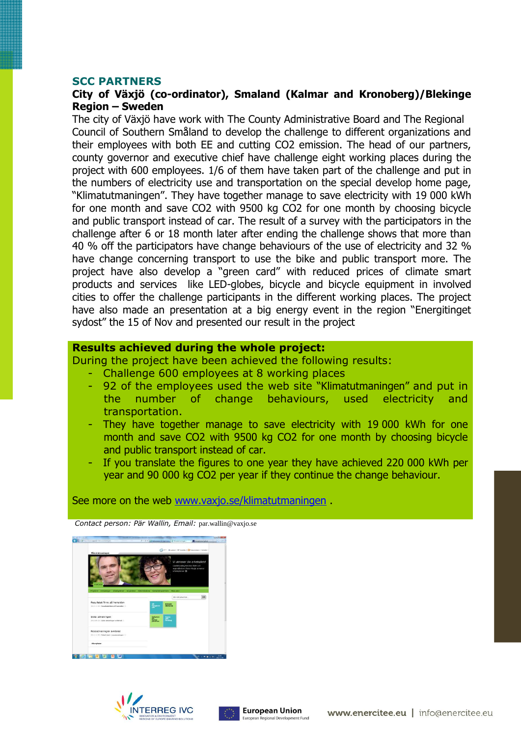#### **SCC PARTNERS**

#### **City of Växjö (co-ordinator), Smaland (Kalmar and Kronoberg)/Blekinge Region – Sweden**

The city of Växjö have work with The County Administrative Board and The Regional Council of Southern Småland to develop the challenge to different organizations and their employees with both EE and cutting CO2 emission. The head of our partners, county governor and executive chief have challenge eight working places during the project with 600 employees. 1/6 of them have taken part of the challenge and put in the numbers of electricity use and transportation on the special develop home page, "Klimatutmaningen". They have together manage to save electricity with 19 000 kWh for one month and save CO2 with 9500 kg CO2 for one month by choosing bicycle and public transport instead of car. The result of a survey with the participators in the challenge after 6 or 18 month later after ending the challenge shows that more than 40 % off the participators have change behaviours of the use of electricity and 32 % have change concerning transport to use the bike and public transport more. The project have also develop a "green card" with reduced prices of climate smart products and services like LED-globes, bicycle and bicycle equipment in involved cities to offer the challenge participants in the different working places. The project have also made an presentation at a big energy event in the region "Energitinget sydost" the 15 of Nov and presented our result in the project

#### **Results achieved during the whole project:**

During the project have been achieved the following results:

- Challenge 600 employees at 8 working places
- 92 of the employees used the web site "Klimatutmaningen" and put in the number of change behaviours, used electricity and transportation.
- They have together manage to save electricity with 19,000 kWh for one month and save CO2 with 9500 kg CO2 for one month by choosing bicycle and public transport instead of car.
- If you translate the figures to one year they have achieved 220 000 kWh per year and 90 000 kg CO2 per year if they continue the change behaviour.

See more on the web [www.vaxjo.se/klimatutmaningen](http://www.vaxjo.se/klimatutmaningen) .

*Contact person: Pär Wallin, Email:* [par.wallin@vaxjo.se](mailto:par.wallin@vaxjo.se)





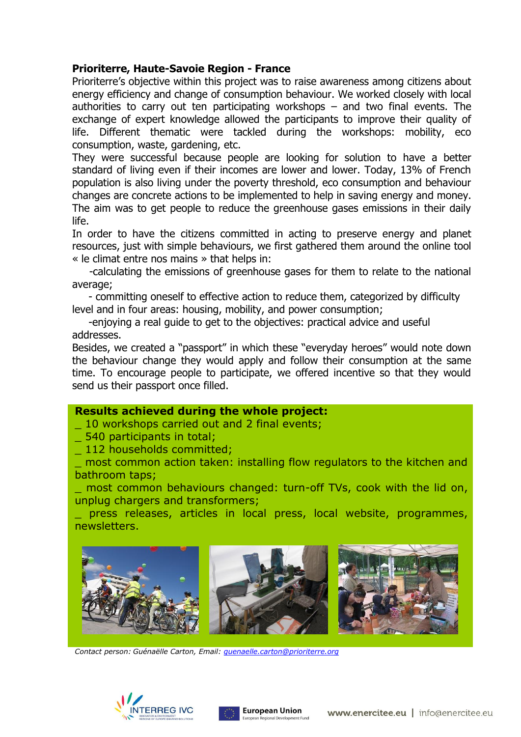## **Prioriterre, Haute-Savoie Region - France**

Prioriterre's objective within this project was to raise awareness among citizens about energy efficiency and change of consumption behaviour. We worked closely with local authorities to carry out ten participating workshops – and two final events. The exchange of expert knowledge allowed the participants to improve their quality of life. Different thematic were tackled during the workshops: mobility, eco consumption, waste, gardening, etc.

They were successful because people are looking for solution to have a better standard of living even if their incomes are lower and lower. Today, 13% of French population is also living under the poverty threshold, eco consumption and behaviour changes are concrete actions to be implemented to help in saving energy and money. The aim was to get people to reduce the greenhouse gases emissions in their daily life.

In order to have the citizens committed in acting to preserve energy and planet resources, just with simple behaviours, we first gathered them around the online tool « le climat entre nos mains » that helps in:

 -calculating the emissions of greenhouse gases for them to relate to the national average;

 - committing oneself to effective action to reduce them, categorized by difficulty level and in four areas: housing, mobility, and power consumption;

 -enjoying a real guide to get to the objectives: practical advice and useful addresses.

Besides, we created a "passport" in which these "everyday heroes" would note down the behaviour change they would apply and follow their consumption at the same time. To encourage people to participate, we offered incentive so that they would send us their passport once filled.

## **Results achieved during the whole project:**

10 workshops carried out and 2 final events;

\_ 540 participants in total;

\_ 112 households committed;

most common action taken: installing flow regulators to the kitchen and bathroom taps;

\_ most common behaviours changed: turn-off TVs, cook with the lid on, unplug chargers and transformers;

press releases, articles in local press, local website, programmes, newsletters.



*Contact person: Guénaëlle Carton, Email: [guenaelle.carton@prioriterre.org](mailto:guenaelle.carton@prioriterre.org)*



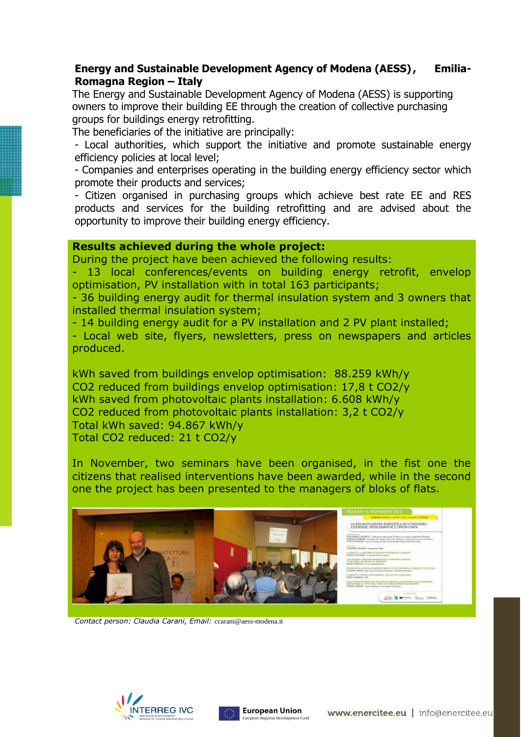## **Energy and Sustainable Development Agency of Modena (AESS) , Emilia-Romagna Region – Italy**

The Energy and Sustainable Development Agency of Modena (AESS) is supporting owners to improve their building EE through the creation of collective purchasing groups for buildings energy retrofitting.

The beneficiaries of the initiative are principally:

- Local authorities, which support the initiative and promote sustainable energy efficiency policies at local level;

- Companies and enterprises operating in the building energy efficiency sector which promote their products and services;

- Citizen organised in purchasing groups which achieve best rate EE and RES products and services for the building retrofitting and are advised about the opportunity to improve their building energy efficiency.

#### **Results achieved during the whole project:**

During the project have been achieved the following results:

- 13 local conferences/events on building energy retrofit, envelop optimisation, PV installation with in total 163 participants;

- 36 building energy audit for thermal insulation system and 3 owners that installed thermal insulation system;

- 14 building energy audit for a PV installation and 2 PV plant installed;

- Local web site, flyers, newsletters, press on newspapers and articles produced.

kWh saved from buildings envelop optimisation: 88.259 kWh/y CO2 reduced from buildings envelop optimisation: 17,8 t CO2/y kWh saved from photovoltaic plants installation: 6.608 kWh/y CO2 reduced from photovoltaic plants installation: 3,2 t CO2/y Total kWh saved: 94.867 kWh/y Total CO2 reduced: 21 t CO2/y

In November, two seminars have been organised, in the fist one the citizens that realised interventions have been awarded, while in the second one the project has been presented to the managers of bloks of flats.



*Contact person: Claudia Carani, Email:* [ccarani@aess-modena.it](mailto:ccarani@aess-modena.it)



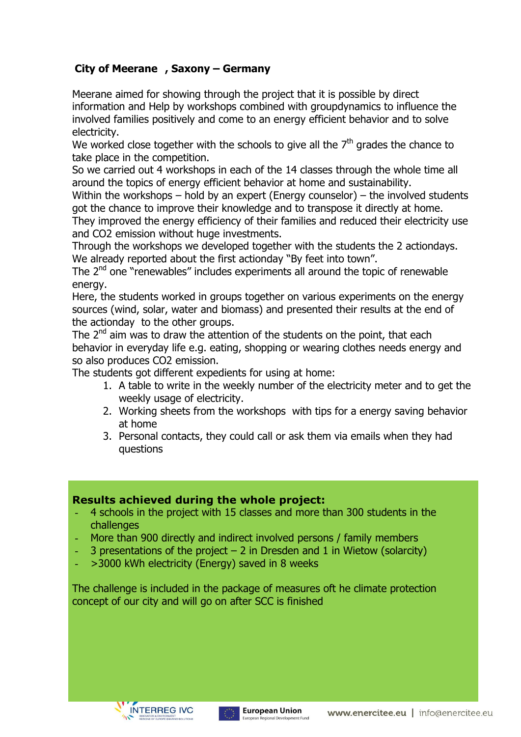## **City of Meerane , Saxony – Germany**

Meerane aimed for showing through the project that it is possible by direct information and Help by workshops combined with groupdynamics to influence the involved families positively and come to an energy efficient behavior and to solve electricity.

We worked close together with the schools to give all the  $7<sup>th</sup>$  grades the chance to take place in the competition.

So we carried out 4 workshops in each of the 14 classes through the whole time all around the topics of energy efficient behavior at home and sustainability.

Within the workshops – hold by an expert (Energy counselor) – the involved students got the chance to improve their knowledge and to transpose it directly at home.

They improved the energy efficiency of their families and reduced their electricity use and CO2 emission without huge investments.

Through the workshops we developed together with the students the 2 actiondays. We already reported about the first actionday "By feet into town".

The 2<sup>nd</sup> one "renewables" includes experiments all around the topic of renewable energy.

Here, the students worked in groups together on various experiments on the energy sources (wind, solar, water and biomass) and presented their results at the end of the actionday to the other groups.

The 2<sup>nd</sup> aim was to draw the attention of the students on the point, that each behavior in everyday life e.g. eating, shopping or wearing clothes needs energy and so also produces CO2 emission.

The students got different expedients for using at home:

- 1. A table to write in the weekly number of the electricity meter and to get the weekly usage of electricity.
- 2. Working sheets from the workshops with tips for a energy saving behavior at home
- 3. Personal contacts, they could call or ask them via emails when they had questions

## **Results achieved during the whole project:**

- 4 schools in the project with 15 classes and more than 300 students in the challenges
- More than 900 directly and indirect involved persons / family members
- 3 presentations of the project  $2$  in Dresden and 1 in Wietow (solarcity)
- >3000 kWh electricity (Energy) saved in 8 weeks

The challenge is included in the package of measures oft he climate protection concept of our city and will go on after SCC is finished